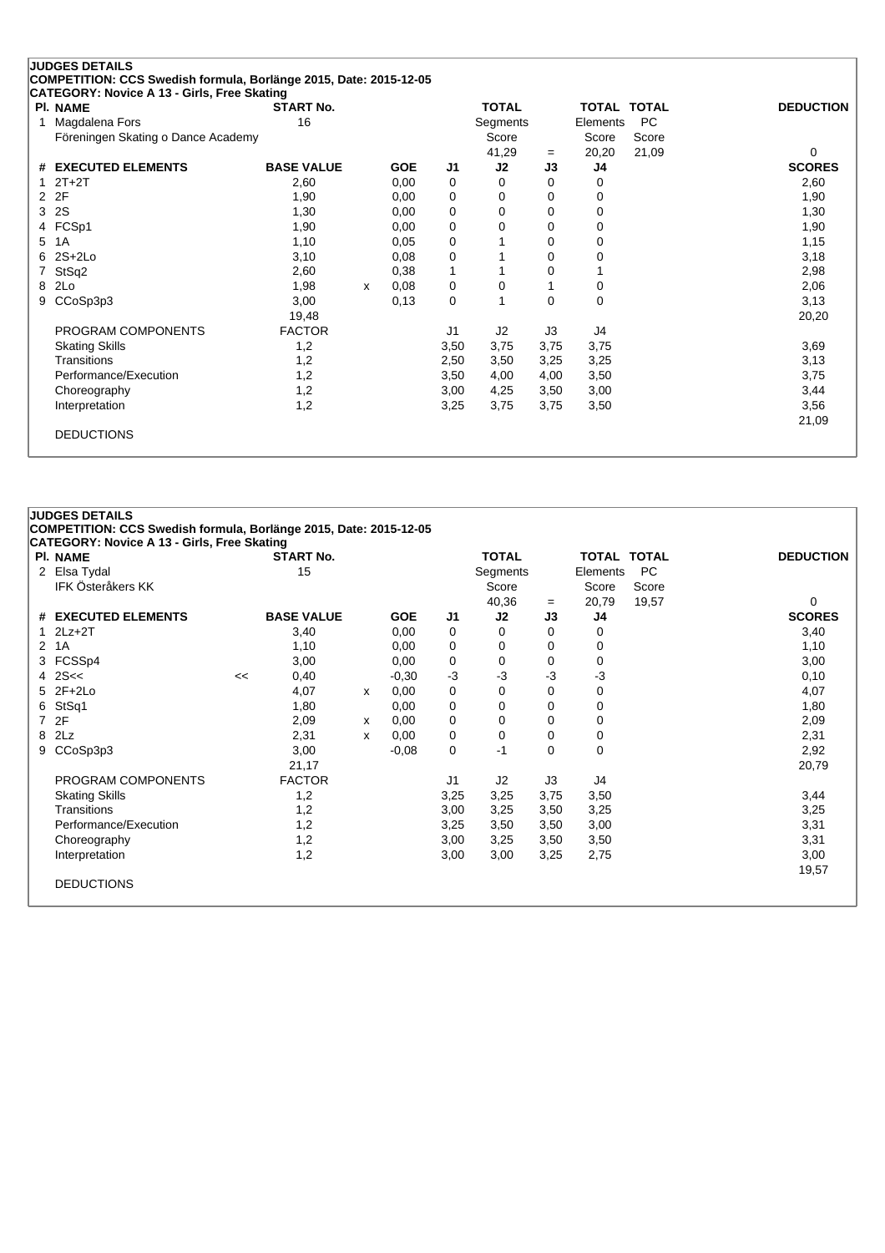|    | <b>JUDGES DETAILS</b>                                             |                   |   |            |                |              |          |                    |       |                  |
|----|-------------------------------------------------------------------|-------------------|---|------------|----------------|--------------|----------|--------------------|-------|------------------|
|    | COMPETITION: CCS Swedish formula, Borlänge 2015, Date: 2015-12-05 |                   |   |            |                |              |          |                    |       |                  |
|    | CATEGORY: Novice A 13 - Girls, Free Skating                       |                   |   |            |                |              |          |                    |       |                  |
|    | <b>PI. NAME</b>                                                   | <b>START No.</b>  |   |            |                | <b>TOTAL</b> |          | <b>TOTAL TOTAL</b> |       | <b>DEDUCTION</b> |
|    | Magdalena Fors                                                    | 16                |   |            |                | Segments     |          | Elements           | PC    |                  |
|    | Föreningen Skating o Dance Academy                                |                   |   |            |                | Score        |          | Score              | Score |                  |
|    |                                                                   |                   |   |            |                | 41,29        | $=$      | 20,20              | 21,09 | 0                |
| #  | <b>EXECUTED ELEMENTS</b>                                          | <b>BASE VALUE</b> |   | <b>GOE</b> | J <sub>1</sub> | J2           | J3       | J4                 |       | <b>SCORES</b>    |
|    | $2T+2T$                                                           | 2,60              |   | 0,00       | 0              | 0            | $\Omega$ | 0                  |       | 2,60             |
| 2  | 2F                                                                | 1,90              |   | 0,00       | 0              | 0            | 0        | 0                  |       | 1,90             |
| 3  | <b>2S</b>                                                         | 1,30              |   | 0,00       | 0              | 0            | $\Omega$ | 0                  |       | 1,30             |
|    | 4 FCSp1                                                           | 1,90              |   | 0,00       | 0              | 0            | 0        | 0                  |       | 1,90             |
| 5. | 1A                                                                | 1,10              |   | 0.05       | 0              |              | 0        | 0                  |       | 1,15             |
| 6. | $2S+2Lo$                                                          | 3,10              |   | 0,08       | 0              |              | 0        | 0                  |       | 3,18             |
|    | StSq2                                                             | 2,60              |   | 0,38       | 1              |              | 0        |                    |       | 2,98             |
| 8  | 2Lo                                                               | 1,98              | x | 0,08       | 0              | 0            |          | 0                  |       | 2,06             |
| 9  | CCoSp3p3                                                          | 3,00              |   | 0,13       | 0              |              | 0        | $\Omega$           |       | 3,13             |
|    |                                                                   | 19,48             |   |            |                |              |          |                    |       | 20,20            |
|    | PROGRAM COMPONENTS                                                | <b>FACTOR</b>     |   |            | J <sub>1</sub> | J2           | J3       | J4                 |       |                  |
|    | <b>Skating Skills</b>                                             | 1,2               |   |            | 3,50           | 3,75         | 3,75     | 3,75               |       | 3,69             |
|    | Transitions                                                       | 1,2               |   |            | 2,50           | 3,50         | 3,25     | 3,25               |       | 3,13             |
|    | Performance/Execution                                             | 1,2               |   |            | 3,50           | 4,00         | 4,00     | 3,50               |       | 3,75             |
|    | Choreography                                                      | 1,2               |   |            | 3,00           | 4,25         | 3,50     | 3,00               |       | 3,44             |
|    | Interpretation                                                    | 1,2               |   |            | 3,25           | 3,75         | 3,75     | 3,50               |       | 3,56             |
|    |                                                                   |                   |   |            |                |              |          |                    |       | 21,09            |
|    | <b>DEDUCTIONS</b>                                                 |                   |   |            |                |              |          |                    |       |                  |
|    |                                                                   |                   |   |            |                |              |          |                    |       |                  |

| <b>PI. NAME</b>          |    | <b>START No.</b>  |   |            |      | <b>TOTAL</b> |          | TOTAL TOTAL |       | <b>DEDUCTION</b> |
|--------------------------|----|-------------------|---|------------|------|--------------|----------|-------------|-------|------------------|
| 2 Elsa Tydal             |    | 15                |   |            |      | Segments     |          | Elements    | PC    |                  |
| <b>IFK Österåkers KK</b> |    |                   |   |            |      | Score        |          | Score       | Score |                  |
|                          |    |                   |   |            |      | 40,36        | $=$      | 20,79       | 19,57 | 0                |
| # EXECUTED ELEMENTS      |    | <b>BASE VALUE</b> |   | <b>GOE</b> | J1   | J2           | J3       | J4          |       | <b>SCORES</b>    |
| $1$ $2Lz+2T$             |    | 3,40              |   | 0,00       | 0    | 0            | 0        | 0           |       | 3,40             |
| 2 1A                     |    | 1,10              |   | 0,00       | 0    | 0            | 0        | 0           |       | 1,10             |
| 3 FCSSp4                 |    | 3,00              |   | 0,00       | 0    | 0            | 0        | 0           |       | 3,00             |
| 4 $2S <$                 | << | 0,40              |   | $-0,30$    | $-3$ | $-3$         | $-3$     | -3          |       | 0,10             |
| 5 2F+2Lo                 |    | 4,07              | x | 0,00       | 0    | 0            | 0        | 0           |       | 4,07             |
| 6 StSq1                  |    | 1,80              |   | 0,00       | 0    | 0            | 0        | 0           |       | 1,80             |
| 7 2F                     |    | 2,09              | x | 0,00       | 0    | 0            | 0        | 0           |       | 2,09             |
| 8 2Lz                    |    | 2,31              | x | 0,00       | 0    | 0            | 0        | 0           |       | 2,31             |
| 9 CCoSp3p3               |    | 3,00              |   | $-0.08$    | 0    | $-1$         | $\Omega$ | 0           |       | 2,92             |
|                          |    | 21,17             |   |            |      |              |          |             |       | 20,79            |
| PROGRAM COMPONENTS       |    | <b>FACTOR</b>     |   |            | J1   | J2           | J3       | J4          |       |                  |
| <b>Skating Skills</b>    |    | 1,2               |   |            | 3,25 | 3,25         | 3,75     | 3,50        |       | 3,44             |
| Transitions              |    | 1,2               |   |            | 3,00 | 3,25         | 3,50     | 3,25        |       | 3,25             |
| Performance/Execution    |    | 1,2               |   |            | 3,25 | 3,50         | 3,50     | 3,00        |       | 3,31             |
| Choreography             |    | 1,2               |   |            | 3,00 | 3,25         | 3,50     | 3,50        |       | 3,31             |
| Interpretation           |    | 1,2               |   |            | 3,00 | 3,00         | 3,25     | 2,75        |       | 3,00             |
|                          |    |                   |   |            |      |              |          |             |       | 19,57            |
| <b>DEDUCTIONS</b>        |    |                   |   |            |      |              |          |             |       |                  |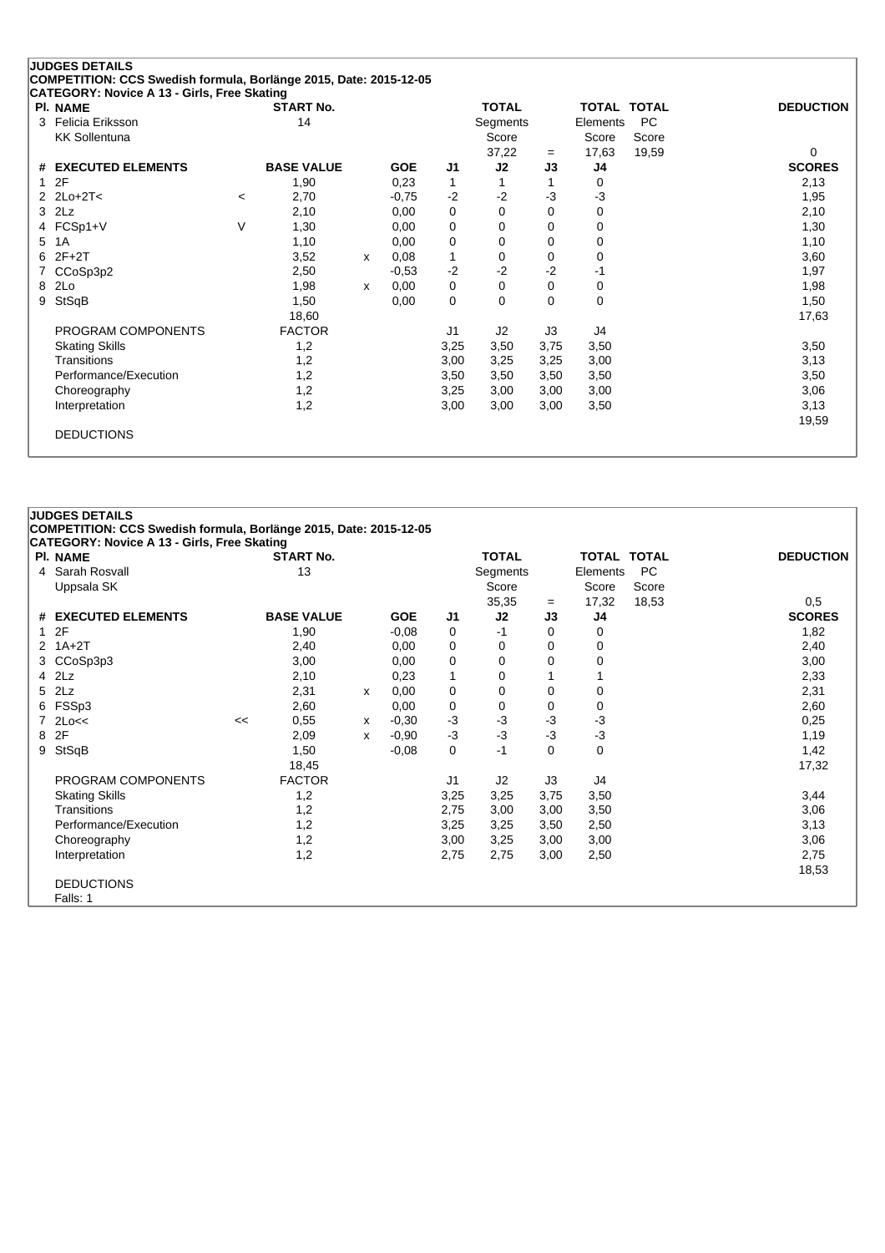|   | <b>JUDGES DETAILS</b>                                             |         |                   |              |            |              |              |             |          |                    |                  |
|---|-------------------------------------------------------------------|---------|-------------------|--------------|------------|--------------|--------------|-------------|----------|--------------------|------------------|
|   | COMPETITION: CCS Swedish formula, Borlänge 2015, Date: 2015-12-05 |         |                   |              |            |              |              |             |          |                    |                  |
|   | CATEGORY: Novice A 13 - Girls, Free Skating<br><b>PI. NAME</b>    |         | <b>START No.</b>  |              |            |              | <b>TOTAL</b> |             |          | <b>TOTAL TOTAL</b> | <b>DEDUCTION</b> |
| 3 | Felicia Eriksson                                                  |         | 14                |              |            |              | Segments     |             | Elements | <b>PC</b>          |                  |
|   | <b>KK Sollentuna</b>                                              |         |                   |              |            |              | Score        |             | Score    | Score              |                  |
|   |                                                                   |         |                   |              |            |              | 37,22        | $=$         | 17,63    | 19,59              | 0                |
|   | # EXECUTED ELEMENTS                                               |         | <b>BASE VALUE</b> |              | <b>GOE</b> | J1           | J2           | J3          | J4       |                    | <b>SCORES</b>    |
| 1 | 2F                                                                |         | 1,90              |              | 0,23       | $\mathbf{1}$ |              |             | 0        |                    | 2,13             |
|   | $2Lo+2T<$                                                         | $\,<\,$ | 2,70              |              | $-0,75$    | $-2$         | $-2$         | $-3$        | $-3$     |                    | 1,95             |
| 3 | 2Lz                                                               |         | 2,10              |              | 0,00       | 0            | 0            | 0           | 0        |                    | 2,10             |
| 4 | FCSp1+V                                                           | V       | 1,30              |              | 0,00       | 0            | 0            | 0           | 0        |                    | 1,30             |
| 5 | 1A                                                                |         | 1,10              |              | 0,00       | 0            | 0            | 0           | 0        |                    | 1,10             |
| 6 | $2F+2T$                                                           |         | 3,52              | X            | 0,08       | 1            | 0            | $\Omega$    | 0        |                    | 3,60             |
|   | CCoSp3p2                                                          |         | 2,50              |              | $-0.53$    | $-2$         | $-2$         | $-2$        | -1       |                    | 1,97             |
| 8 | 2Lo                                                               |         | 1,98              | $\mathsf{x}$ | 0,00       | 0            | 0            | $\mathbf 0$ | 0        |                    | 1,98             |
| 9 | StSqB                                                             |         | 1,50              |              | 0,00       | 0            | 0            | $\Omega$    | 0        |                    | 1,50             |
|   |                                                                   |         | 18,60             |              |            |              |              |             |          |                    | 17,63            |
|   | PROGRAM COMPONENTS                                                |         | <b>FACTOR</b>     |              |            | J1           | J2           | J3          | J4       |                    |                  |
|   | <b>Skating Skills</b>                                             |         | 1,2               |              |            | 3,25         | 3,50         | 3,75        | 3,50     |                    | 3,50             |
|   | Transitions                                                       |         | 1,2               |              |            | 3,00         | 3,25         | 3,25        | 3,00     |                    | 3,13             |
|   | Performance/Execution                                             |         | 1,2               |              |            | 3,50         | 3,50         | 3,50        | 3,50     |                    | 3,50             |
|   | Choreography                                                      |         | 1,2               |              |            | 3,25         | 3,00         | 3,00        | 3,00     |                    | 3,06             |
|   | Interpretation                                                    |         | 1,2               |              |            | 3,00         | 3,00         | 3,00        | 3,50     |                    | 3,13             |
|   |                                                                   |         |                   |              |            |              |              |             |          |                    | 19,59            |
|   | <b>DEDUCTIONS</b>                                                 |         |                   |              |            |              |              |             |          |                    |                  |
|   |                                                                   |         |                   |              |            |              |              |             |          |                    |                  |

| CATEGORY: Novice A 13 - Girls, Free Skating |    |                   |   |            |      |              |      |          |             |                  |
|---------------------------------------------|----|-------------------|---|------------|------|--------------|------|----------|-------------|------------------|
| <b>PI. NAME</b>                             |    | <b>START No.</b>  |   |            |      | <b>TOTAL</b> |      |          | TOTAL TOTAL | <b>DEDUCTION</b> |
| 4 Sarah Rosvall                             |    | 13                |   |            |      | Segments     |      | Elements | <b>PC</b>   |                  |
| Uppsala SK                                  |    |                   |   |            |      | Score        |      | Score    | Score       |                  |
|                                             |    |                   |   |            |      | 35,35        | $=$  | 17,32    | 18,53       | 0,5              |
| # EXECUTED ELEMENTS                         |    | <b>BASE VALUE</b> |   | <b>GOE</b> | J1   | J2           | J3   | J4       |             | <b>SCORES</b>    |
| 12F                                         |    | 1,90              |   | $-0,08$    | 0    | $-1$         | 0    | 0        |             | 1,82             |
| $2$ 1A+2T                                   |    | 2,40              |   | 0,00       | 0    | 0            | 0    | 0        |             | 2,40             |
| 3 CCoSp3p3                                  |    | 3,00              |   | 0,00       | 0    | 0            | 0    | 0        |             | 3,00             |
| 4 2Lz                                       |    | 2,10              |   | 0,23       | 1    | 0            |      |          |             | 2,33             |
| 5 2Lz                                       |    | 2,31              | х | 0,00       | 0    | 0            | 0    | 0        |             | 2,31             |
| 6 FSSp3                                     |    | 2,60              |   | 0,00       | 0    | 0            | 0    | 0        |             | 2,60             |
| $7$ 2Lo<<                                   | << | 0,55              | x | $-0,30$    | -3   | $-3$         | $-3$ | $-3$     |             | 0,25             |
| 8 2F                                        |    | 2,09              | x | $-0,90$    | $-3$ | $-3$         | $-3$ | $-3$     |             | 1,19             |
| 9 StSqB                                     |    | 1,50              |   | $-0,08$    | 0    | $-1$         | 0    | $\Omega$ |             | 1,42             |
|                                             |    | 18,45             |   |            |      |              |      |          |             | 17,32            |
| PROGRAM COMPONENTS                          |    | <b>FACTOR</b>     |   |            | J1   | J2           | J3   | J4       |             |                  |
| <b>Skating Skills</b>                       |    | 1,2               |   |            | 3,25 | 3,25         | 3,75 | 3,50     |             | 3,44             |
| Transitions                                 |    | 1,2               |   |            | 2,75 | 3,00         | 3,00 | 3,50     |             | 3,06             |
| Performance/Execution                       |    | 1,2               |   |            | 3,25 | 3,25         | 3,50 | 2,50     |             | 3,13             |
| Choreography                                |    | 1,2               |   |            | 3,00 | 3,25         | 3,00 | 3,00     |             | 3,06             |
| Interpretation                              |    | 1,2               |   |            | 2,75 | 2,75         | 3,00 | 2,50     |             | 2,75             |
|                                             |    |                   |   |            |      |              |      |          |             | 18,53            |
| <b>DEDUCTIONS</b>                           |    |                   |   |            |      |              |      |          |             |                  |
| Falls: 1                                    |    |                   |   |            |      |              |      |          |             |                  |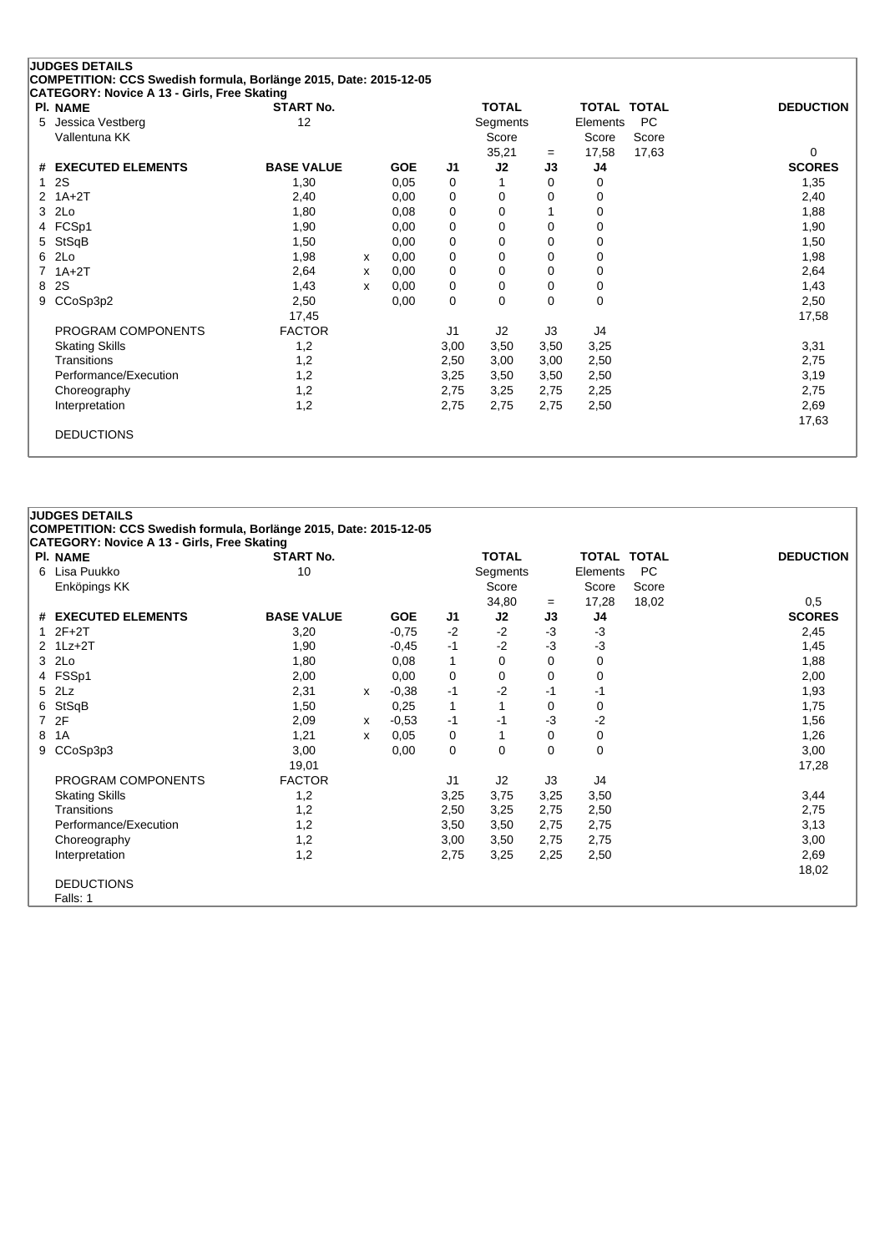| PI. NAME              | <b>START No.</b>  |   |            |                | <b>TOTAL</b> |          | <b>TOTAL TOTAL</b> |           | <b>DEDUCTION</b> |
|-----------------------|-------------------|---|------------|----------------|--------------|----------|--------------------|-----------|------------------|
| Jessica Vestberg<br>5 | 12                |   |            |                | Segments     |          | Elements           | <b>PC</b> |                  |
| Vallentuna KK         |                   |   |            |                | Score        |          | Score              | Score     |                  |
|                       |                   |   |            |                | 35,21        | $=$      | 17,58              | 17,63     | $\Omega$         |
| # EXECUTED ELEMENTS   | <b>BASE VALUE</b> |   | <b>GOE</b> | J <sub>1</sub> | J2           | J3       | J4                 |           | <b>SCORES</b>    |
| 2S<br>1               | 1,30              |   | 0.05       | 0              |              | 0        | 0                  |           | 1,35             |
| $1A+2T$<br>2          | 2,40              |   | 0,00       | 0              | 0            | 0        | 0                  |           | 2,40             |
| 2Lo<br>3              | 1,80              |   | 0,08       | 0              | 0            |          | 0                  |           | 1,88             |
| 4 FCSp1               | 1,90              |   | 0,00       | 0              | 0            | 0        | 0                  |           | 1,90             |
| StSqB<br>5            | 1,50              |   | 0,00       | 0              | 0            | 0        | 0                  |           | 1,50             |
| 2Lo<br>6              | 1,98              | x | 0,00       | $\mathbf 0$    | $\Omega$     | 0        | 0                  |           | 1,98             |
| $1A+2T$               | 2,64              | x | 0,00       | 0              | 0            | 0        | 0                  |           | 2,64             |
| 2S<br>8               | 1,43              | X | 0.00       | 0              | 0            | 0        | 0                  |           | 1,43             |
| CCoSp3p2<br>9         | 2,50              |   | 0,00       | $\mathbf 0$    | 0            | $\Omega$ | 0                  |           | 2,50             |
|                       | 17,45             |   |            |                |              |          |                    |           | 17,58            |
| PROGRAM COMPONENTS    | <b>FACTOR</b>     |   |            | J1             | J2           | J3       | J4                 |           |                  |
| <b>Skating Skills</b> | 1,2               |   |            | 3,00           | 3,50         | 3,50     | 3,25               |           | 3,31             |
| <b>Transitions</b>    | 1,2               |   |            | 2,50           | 3,00         | 3,00     | 2,50               |           | 2,75             |
| Performance/Execution | 1,2               |   |            | 3,25           | 3,50         | 3,50     | 2,50               |           | 3,19             |
| Choreography          | 1,2               |   |            | 2,75           | 3,25         | 2,75     | 2,25               |           | 2,75             |
| Interpretation        | 1,2               |   |            | 2,75           | 2,75         | 2,75     | 2,50               |           | 2,69             |
|                       |                   |   |            |                |              |          |                    |           | 17,63            |

|   | CATEGORY: Novice A 13 - Girls, Free Skating |                   |   |            |      |              |      |             |       |                  |
|---|---------------------------------------------|-------------------|---|------------|------|--------------|------|-------------|-------|------------------|
|   | <b>PI. NAME</b>                             | <b>START No.</b>  |   |            |      | <b>TOTAL</b> |      | TOTAL TOTAL |       | <b>DEDUCTION</b> |
|   | 6 Lisa Puukko                               | 10                |   |            |      | Segments     |      | Elements    | PC    |                  |
|   | Enköpings KK                                |                   |   |            |      | Score        |      | Score       | Score |                  |
|   |                                             |                   |   |            |      | 34,80        | $=$  | 17,28       | 18,02 | 0,5              |
|   | # EXECUTED ELEMENTS                         | <b>BASE VALUE</b> |   | <b>GOE</b> | J1   | J2           | J3   | J4          |       | <b>SCORES</b>    |
|   | $12F+2T$                                    | 3,20              |   | $-0,75$    | $-2$ | $-2$         | $-3$ | $-3$        |       | 2,45             |
|   | $2$ 1 Lz+2 T                                | 1,90              |   | $-0,45$    | $-1$ | $-2$         | $-3$ | $-3$        |       | 1,45             |
|   | 3 2Lo                                       | 1,80              |   | 0,08       | 1    | 0            | 0    | 0           |       | 1,88             |
|   | 4 FSSp1                                     | 2,00              |   | 0,00       | 0    | 0            | 0    | 0           |       | 2,00             |
|   | 5 2Lz                                       | 2,31              | x | $-0,38$    | $-1$ | $-2$         | -1   | -1          |       | 1,93             |
|   | 6 StSqB                                     | 1,50              |   | 0,25       | 1    | 1            | 0    | 0           |       | 1,75             |
|   | 7 2F                                        | 2,09              | x | $-0,53$    | -1   | -1           | $-3$ | $-2$        |       | 1,56             |
| 8 | 1A                                          | 1,21              | x | 0,05       | 0    | 1            | 0    | 0           |       | 1,26             |
|   | 9 CCoSp3p3                                  | 3,00              |   | 0,00       | 0    | 0            | 0    | 0           |       | 3,00             |
|   |                                             | 19,01             |   |            |      |              |      |             |       | 17,28            |
|   | PROGRAM COMPONENTS                          | <b>FACTOR</b>     |   |            | J1   | J2           | J3   | J4          |       |                  |
|   | <b>Skating Skills</b>                       | 1,2               |   |            | 3,25 | 3,75         | 3,25 | 3,50        |       | 3,44             |
|   | Transitions                                 | 1,2               |   |            | 2,50 | 3,25         | 2,75 | 2,50        |       | 2,75             |
|   | Performance/Execution                       | 1,2               |   |            | 3,50 | 3,50         | 2,75 | 2,75        |       | 3,13             |
|   | Choreography                                | 1,2               |   |            | 3,00 | 3,50         | 2,75 | 2,75        |       | 3,00             |
|   | Interpretation                              | 1,2               |   |            | 2,75 | 3,25         | 2,25 | 2,50        |       | 2,69             |
|   |                                             |                   |   |            |      |              |      |             |       | 18,02            |
|   | <b>DEDUCTIONS</b>                           |                   |   |            |      |              |      |             |       |                  |
|   | Falls: 1                                    |                   |   |            |      |              |      |             |       |                  |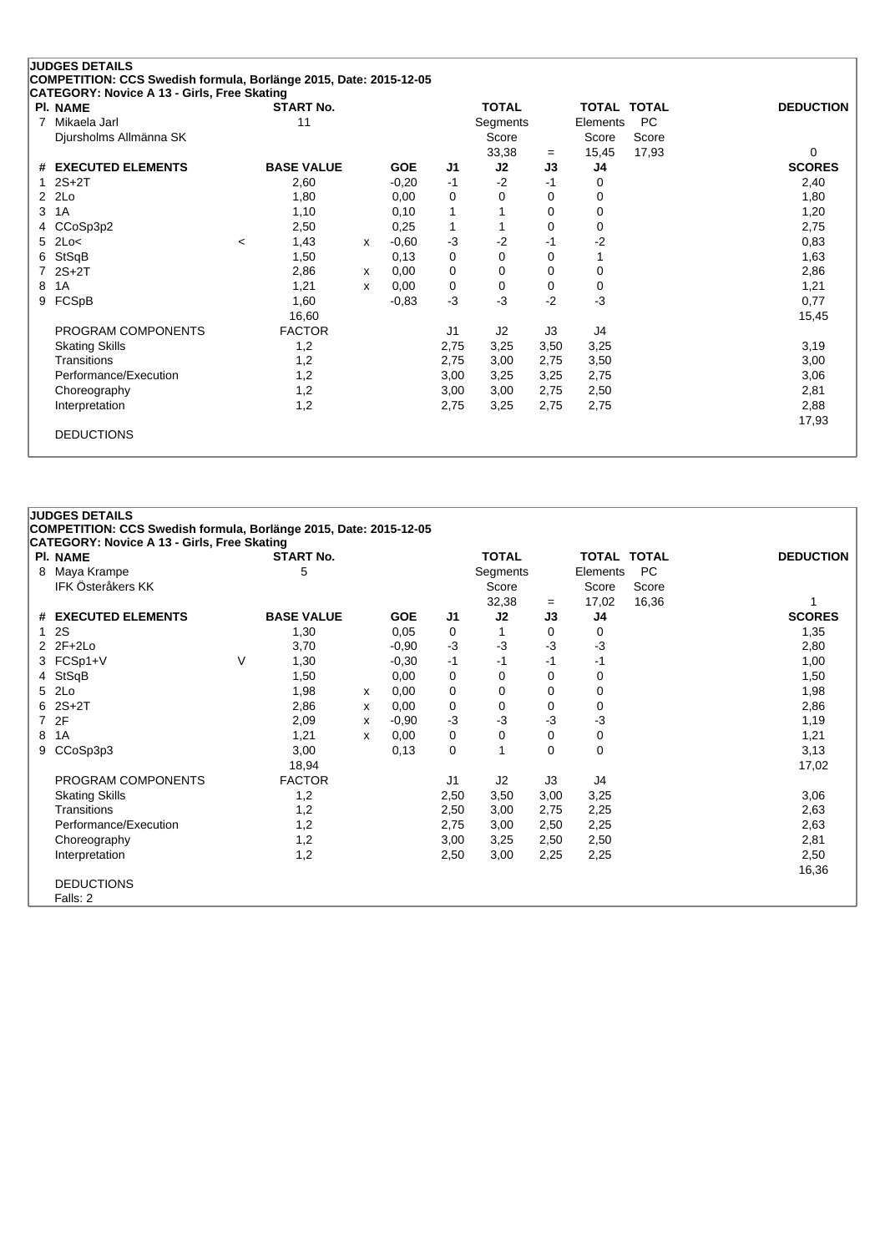| <b>PI. NAME</b>        | <b>START No.</b>  |   |            |                | <b>TOTAL</b> |          | <b>TOTAL TOTAL</b> |           | <b>DEDUCTION</b> |
|------------------------|-------------------|---|------------|----------------|--------------|----------|--------------------|-----------|------------------|
| Mikaela Jarl<br>7      | 11                |   |            |                | Segments     |          | Elements           | <b>PC</b> |                  |
| Djursholms Allmänna SK |                   |   |            |                | Score        |          | Score              | Score     |                  |
|                        |                   |   |            |                | 33,38        | $=$      | 15,45              | 17,93     | $\Omega$         |
| # EXECUTED ELEMENTS    | <b>BASE VALUE</b> |   | <b>GOE</b> | J <sub>1</sub> | J2           | J3       | J4                 |           | <b>SCORES</b>    |
| $2S+2T$                | 2,60              |   | $-0,20$    | $-1$           | $-2$         | $-1$     | 0                  |           | 2,40             |
| 2Lo<br>2               | 1,80              |   | 0,00       | 0              | 0            | 0        | 0                  |           | 1,80             |
| 1A<br>3                | 1,10              |   | 0,10       | 1              |              | 0        | 0                  |           | 1,20             |
| CCoSp3p2<br>4          | 2,50              |   | 0,25       | 1              |              | $\Omega$ | 0                  |           | 2,75             |
| 2Lo<<br>5.             | 1,43<br>$\,<\,$   | x | $-0.60$    | $-3$           | $-2$         | $-1$     | $-2$               |           | 0,83             |
| StSqB<br>6             | 1,50              |   | 0,13       | 0              | $\Omega$     | 0        |                    |           | 1,63             |
| $2S+2T$                | 2,86              | x | 0,00       | 0              | 0            | 0        | 0                  |           | 2,86             |
| 1A<br>8                | 1,21              | x | 0,00       | 0              | 0            | 0        | 0                  |           | 1,21             |
| FCSpB<br>9             | 1,60              |   | $-0,83$    | $-3$           | $-3$         | $-2$     | $-3$               |           | 0,77             |
|                        | 16,60             |   |            |                |              |          |                    |           | 15,45            |
| PROGRAM COMPONENTS     | <b>FACTOR</b>     |   |            | J1             | J2           | J3       | J4                 |           |                  |
| <b>Skating Skills</b>  | 1,2               |   |            | 2,75           | 3,25         | 3,50     | 3,25               |           | 3,19             |
| Transitions            | 1,2               |   |            | 2,75           | 3,00         | 2,75     | 3,50               |           | 3,00             |
| Performance/Execution  | 1,2               |   |            | 3,00           | 3,25         | 3,25     | 2,75               |           | 3,06             |
| Choreography           | 1,2               |   |            | 3,00           | 3,00         | 2,75     | 2,50               |           | 2,81             |
| Interpretation         | 1,2               |   |            | 2,75           | 3,25         | 2,75     | 2,75               |           | 2,88             |
|                        |                   |   |            |                |              |          |                    |           | 17,93            |

|   | CATEGORY: Novice A 13 - Girls, Free Skating |        |                   |   |            |      |              |      |             |           |                  |
|---|---------------------------------------------|--------|-------------------|---|------------|------|--------------|------|-------------|-----------|------------------|
|   | <b>PI. NAME</b>                             |        | <b>START No.</b>  |   |            |      | <b>TOTAL</b> |      | TOTAL TOTAL |           | <b>DEDUCTION</b> |
| 8 | Maya Krampe                                 |        | 5                 |   |            |      | Segments     |      | Elements    | <b>PC</b> |                  |
|   | <b>IFK Österåkers KK</b>                    |        |                   |   |            |      | Score        |      | Score       | Score     |                  |
|   |                                             |        |                   |   |            |      | 32,38        | $=$  | 17,02       | 16,36     |                  |
|   | # EXECUTED ELEMENTS                         |        | <b>BASE VALUE</b> |   | <b>GOE</b> | J1   | J2           | J3   | J4          |           | <b>SCORES</b>    |
|   | 2S                                          |        | 1,30              |   | 0,05       | 0    |              | 0    | 0           |           | 1,35             |
|   | 2 2F+2Lo                                    |        | 3,70              |   | $-0,90$    | -3   | $-3$         | $-3$ | $-3$        |           | 2,80             |
|   | 3 FCSp1+V                                   | $\vee$ | 1,30              |   | $-0,30$    | -1   | $-1$         | $-1$ | -1          |           | 1,00             |
|   | 4 StSqB                                     |        | 1,50              |   | 0,00       | 0    | 0            | 0    | 0           |           | 1,50             |
|   | 5 2Lo                                       |        | 1,98              | х | 0,00       | 0    | 0            | 0    | 0           |           | 1,98             |
|   | $62S+2T$                                    |        | 2,86              | x | 0,00       | 0    | 0            | 0    | 0           |           | 2,86             |
|   | 7 2F                                        |        | 2,09              | x | $-0,90$    | -3   | $-3$         | $-3$ | $-3$        |           | 1,19             |
| 8 | 1A                                          |        | 1,21              | x | 0,00       | 0    | 0            | 0    | 0           |           | 1,21             |
|   | 9 CCoSp3p3                                  |        | 3,00              |   | 0,13       | 0    | 1            | 0    | $\Omega$    |           | 3,13             |
|   |                                             |        | 18,94             |   |            |      |              |      |             |           | 17,02            |
|   | PROGRAM COMPONENTS                          |        | <b>FACTOR</b>     |   |            | J1   | J2           | J3   | J4          |           |                  |
|   | <b>Skating Skills</b>                       |        | 1,2               |   |            | 2,50 | 3,50         | 3,00 | 3,25        |           | 3,06             |
|   | Transitions                                 |        | 1,2               |   |            | 2,50 | 3,00         | 2,75 | 2,25        |           | 2,63             |
|   | Performance/Execution                       |        | 1,2               |   |            | 2,75 | 3,00         | 2,50 | 2,25        |           | 2,63             |
|   | Choreography                                |        | 1,2               |   |            | 3,00 | 3,25         | 2,50 | 2,50        |           | 2,81             |
|   | Interpretation                              |        | 1,2               |   |            | 2,50 | 3,00         | 2,25 | 2,25        |           | 2,50             |
|   |                                             |        |                   |   |            |      |              |      |             |           | 16,36            |
|   | <b>DEDUCTIONS</b>                           |        |                   |   |            |      |              |      |             |           |                  |
|   | Falls: 2                                    |        |                   |   |            |      |              |      |             |           |                  |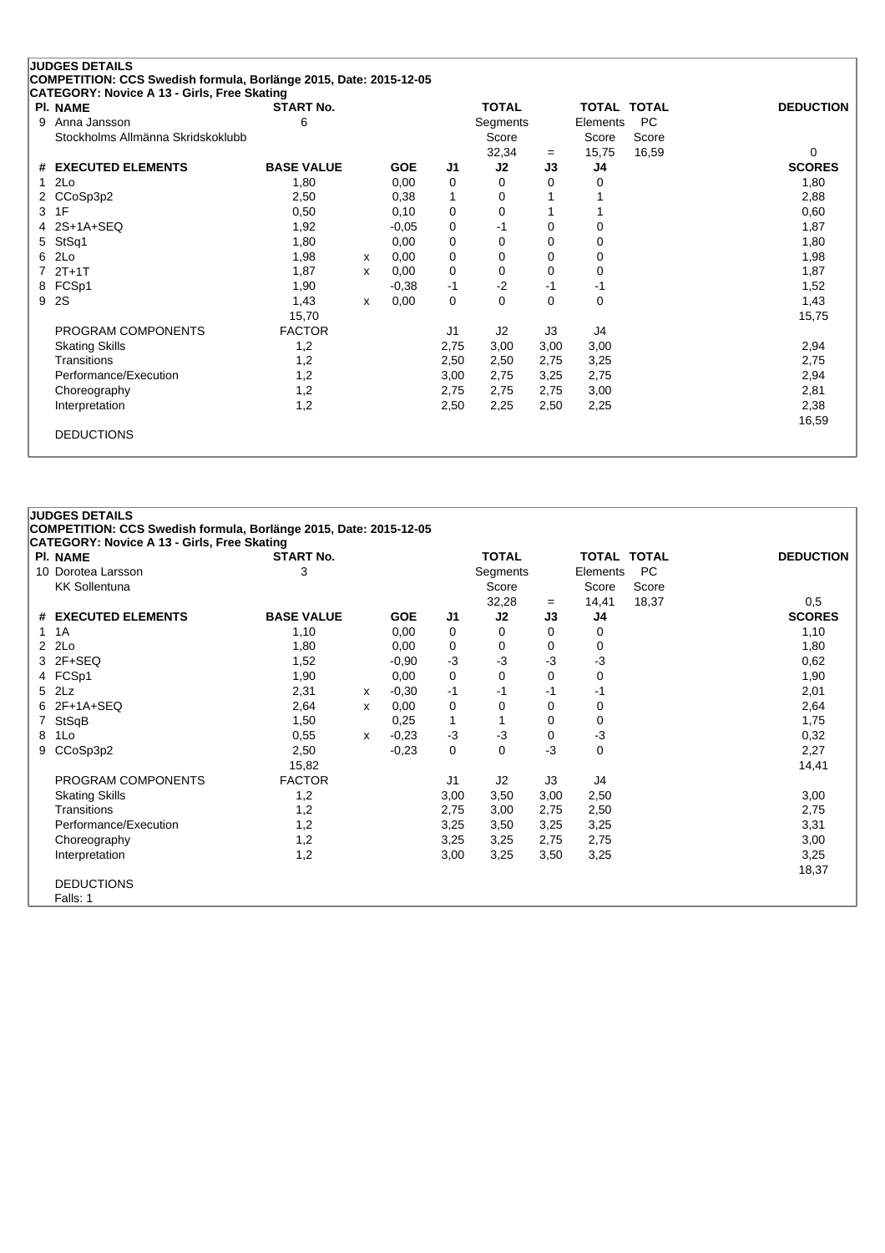| <b>PI. NAME</b>                   | <b>START No.</b>  |   |            |                | <b>TOTAL</b> |          | <b>TOTAL TOTAL</b> |           | <b>DEDUCTION</b> |
|-----------------------------------|-------------------|---|------------|----------------|--------------|----------|--------------------|-----------|------------------|
| 9<br>Anna Jansson                 | 6                 |   |            |                | Segments     |          | Elements           | <b>PC</b> |                  |
| Stockholms Allmänna Skridskoklubb |                   |   |            |                | Score        |          | Score              | Score     |                  |
|                                   |                   |   |            |                | 32,34        | $=$      | 15,75              | 16,59     | $\Omega$         |
| <b>EXECUTED ELEMENTS</b><br>#     | <b>BASE VALUE</b> |   | <b>GOE</b> | J1             | J2           | J3       | J4                 |           | <b>SCORES</b>    |
| 2Lo<br>1                          | 1,80              |   | 0,00       | 0              | 0            | 0        | 0                  |           | 1,80             |
| 2 CCoSp3p2                        | 2,50              |   | 0,38       | 1              | 0            |          |                    |           | 2,88             |
| 3 1F                              | 0,50              |   | 0,10       | 0              | 0            |          |                    |           | 0,60             |
| 2S+1A+SEQ<br>4                    | 1,92              |   | $-0,05$    | 0              | $-1$         | 0        | 0                  |           | 1,87             |
| StSq1<br>5.                       | 1,80              |   | 0,00       | 0              | 0            | 0        | $\Omega$           |           | 1,80             |
| 2Lo<br>6                          | 1,98              | x | 0,00       | 0              | 0            | 0        | 0                  |           | 1,98             |
| $2T+1T$                           | 1,87              | x | 0,00       | 0              | 0            | 0        | 0                  |           | 1,87             |
| FCSp1<br>8                        | 1,90              |   | $-0,38$    | $-1$           | $-2$         | -1       | -1                 |           | 1,52             |
| 2S<br>9                           | 1,43              | x | 0,00       | 0              | 0            | $\Omega$ | 0                  |           | 1,43             |
|                                   | 15,70             |   |            |                |              |          |                    |           | 15,75            |
| PROGRAM COMPONENTS                | <b>FACTOR</b>     |   |            | J <sub>1</sub> | J2           | J3       | J4                 |           |                  |
| <b>Skating Skills</b>             | 1,2               |   |            | 2,75           | 3,00         | 3,00     | 3,00               |           | 2,94             |
| Transitions                       | 1,2               |   |            | 2,50           | 2,50         | 2,75     | 3,25               |           | 2,75             |
| Performance/Execution             | 1,2               |   |            | 3,00           | 2,75         | 3,25     | 2,75               |           | 2,94             |
| Choreography                      | 1,2               |   |            | 2,75           | 2,75         | 2,75     | 3,00               |           | 2,81             |
| Interpretation                    | 1,2               |   |            | 2,50           | 2,25         | 2,50     | 2,25               |           | 2,38             |
|                                   |                   |   |            |                |              |          |                    |           | 16,59            |

| CATEGORY: Novice A 13 - Girls, Free Skating |                   |   |            |      |              |          |             |       |                  |
|---------------------------------------------|-------------------|---|------------|------|--------------|----------|-------------|-------|------------------|
| <b>PI. NAME</b>                             | <b>START No.</b>  |   |            |      | <b>TOTAL</b> |          | TOTAL TOTAL |       | <b>DEDUCTION</b> |
| 10 Dorotea Larsson                          | 3                 |   |            |      | Segments     |          | Elements    | PC    |                  |
| <b>KK Sollentuna</b>                        |                   |   |            |      | Score        |          | Score       | Score |                  |
|                                             |                   |   |            |      | 32,28        | $=$      | 14,41       | 18,37 | 0,5              |
| # EXECUTED ELEMENTS                         | <b>BASE VALUE</b> |   | <b>GOE</b> | J1   | J2           | J3       | J4          |       | <b>SCORES</b>    |
| 1 1 A                                       | 1,10              |   | 0,00       | 0    | 0            | 0        | 0           |       | 1,10             |
| $2$ $2Lo$                                   | 1,80              |   | 0,00       | 0    | 0            | 0        | 0           |       | 1,80             |
| 3 2F+SEQ                                    | 1,52              |   | $-0.90$    | $-3$ | $-3$         | $-3$     | $-3$        |       | 0,62             |
| 4 FCSp1                                     | 1,90              |   | 0,00       | 0    | 0            | 0        | 0           |       | 1,90             |
| 5 2Lz                                       | 2,31              | x | $-0,30$    | $-1$ | $-1$         | -1       | -1          |       | 2,01             |
| 6 2F+1A+SEQ                                 | 2,64              | x | 0,00       | 0    | 0            | 0        | 0           |       | 2,64             |
| 7 StSqB                                     | 1,50              |   | 0,25       | 1    | 1            | 0        | 0           |       | 1,75             |
| 8 1Lo                                       | 0,55              | x | $-0,23$    | $-3$ | $-3$         | $\Omega$ | $-3$        |       | 0,32             |
| 9 CCoSp3p2                                  | 2,50              |   | $-0,23$    | 0    | $\mathbf 0$  | $-3$     | 0           |       | 2,27             |
|                                             | 15,82             |   |            |      |              |          |             |       | 14,41            |
| PROGRAM COMPONENTS                          | <b>FACTOR</b>     |   |            | J1   | J2           | J3       | J4          |       |                  |
| <b>Skating Skills</b>                       | 1,2               |   |            | 3,00 | 3,50         | 3,00     | 2,50        |       | 3,00             |
| Transitions                                 | 1,2               |   |            | 2,75 | 3,00         | 2,75     | 2,50        |       | 2,75             |
| Performance/Execution                       | 1,2               |   |            | 3,25 | 3,50         | 3,25     | 3,25        |       | 3,31             |
| Choreography                                | 1,2               |   |            | 3,25 | 3,25         | 2,75     | 2,75        |       | 3,00             |
| Interpretation                              | 1,2               |   |            | 3,00 | 3,25         | 3,50     | 3,25        |       | 3,25             |
|                                             |                   |   |            |      |              |          |             |       | 18,37            |
| <b>DEDUCTIONS</b>                           |                   |   |            |      |              |          |             |       |                  |
| Falls: 1                                    |                   |   |            |      |              |          |             |       |                  |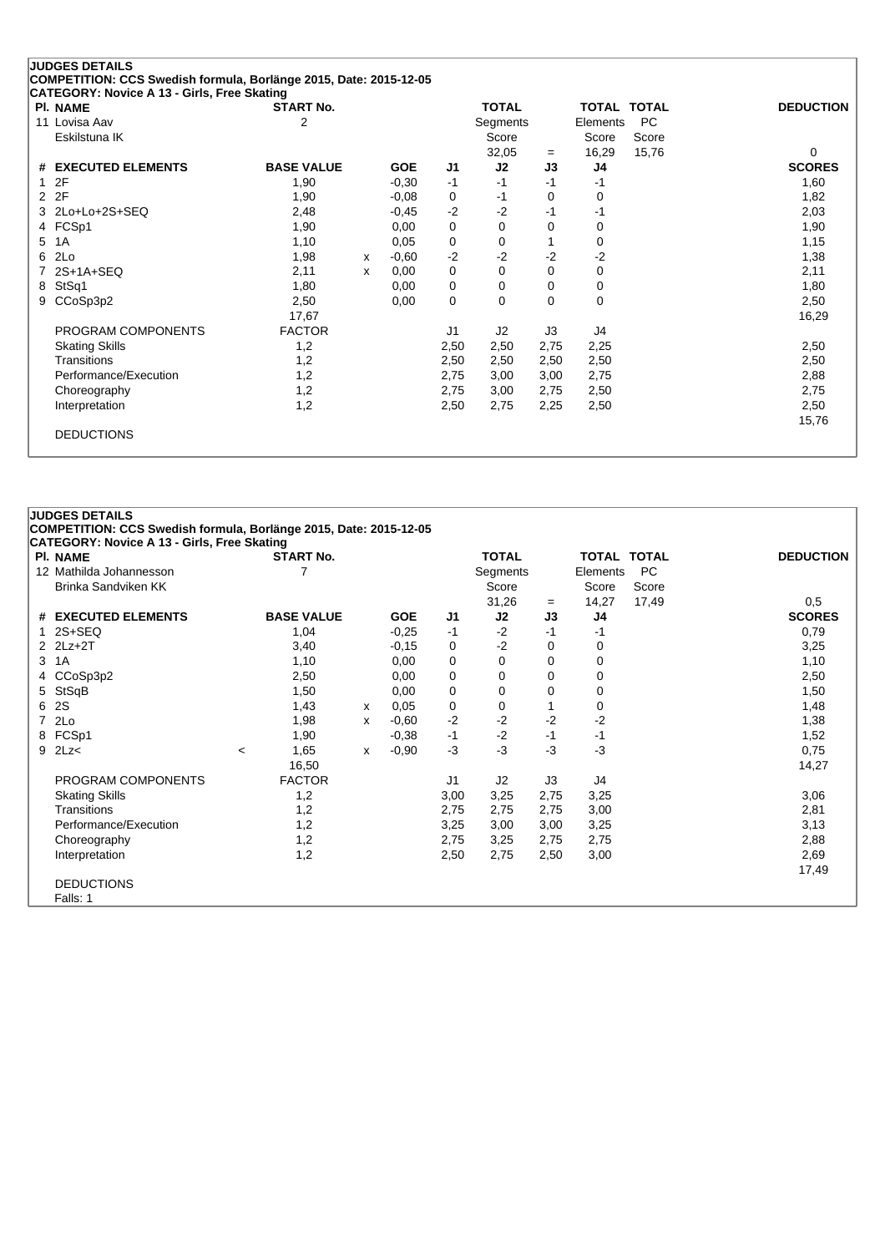|                | <b>JUDGES DETAILS</b>                                             |                   |   |            |                |              |      |                    |           |                  |
|----------------|-------------------------------------------------------------------|-------------------|---|------------|----------------|--------------|------|--------------------|-----------|------------------|
|                | COMPETITION: CCS Swedish formula, Borlänge 2015, Date: 2015-12-05 |                   |   |            |                |              |      |                    |           |                  |
|                | <b>CATEGORY: Novice A 13 - Girls, Free Skating</b>                |                   |   |            |                |              |      |                    |           |                  |
|                | <b>PI. NAME</b>                                                   | <b>START No.</b>  |   |            |                | <b>TOTAL</b> |      | <b>TOTAL TOTAL</b> |           | <b>DEDUCTION</b> |
|                | 11 Lovisa Aav                                                     | 2                 |   |            |                | Segments     |      | Elements           | <b>PC</b> |                  |
|                | Eskilstuna IK                                                     |                   |   |            |                | Score        |      | Score              | Score     |                  |
|                |                                                                   |                   |   |            |                | 32,05        | $=$  | 16,29              | 15,76     | $\Omega$         |
|                | # EXECUTED ELEMENTS                                               | <b>BASE VALUE</b> |   | <b>GOE</b> | J1             | J2           | J3   | J4                 |           | <b>SCORES</b>    |
| $\mathbf{1}$   | 2F                                                                | 1.90              |   | $-0,30$    | $-1$           | $-1$         | $-1$ | -1                 |           | 1,60             |
| $\overline{2}$ | 2F                                                                | 1,90              |   | $-0.08$    | 0              | -1           | 0    | 0                  |           | 1,82             |
|                | 3 2Lo+Lo+2S+SEQ                                                   | 2,48              |   | $-0,45$    | $-2$           | $-2$         | -1   | -1                 |           | 2,03             |
|                | 4 FCSp1                                                           | 1,90              |   | 0,00       | 0              | $\Omega$     | 0    | 0                  |           | 1,90             |
| 5              | 1A                                                                | 1,10              |   | 0,05       | 0              | 0            |      | 0                  |           | 1,15             |
| 6              | 2Lo                                                               | 1,98              | x | $-0,60$    | $-2$           | $-2$         | $-2$ | $-2$               |           | 1,38             |
|                | $2S+1A+SEQ$                                                       | 2,11              | x | 0,00       | 0              | 0            | 0    | 0                  |           | 2,11             |
| 8              | StSq1                                                             | 1,80              |   | 0,00       | 0              | 0            | 0    | 0                  |           | 1,80             |
| 9              | CCoSp3p2                                                          | 2,50              |   | 0,00       | 0              | $\Omega$     | 0    | 0                  |           | 2,50             |
|                |                                                                   | 17,67             |   |            |                |              |      |                    |           | 16,29            |
|                | PROGRAM COMPONENTS                                                | <b>FACTOR</b>     |   |            | J <sub>1</sub> | J2           | J3   | J4                 |           |                  |
|                | <b>Skating Skills</b>                                             | 1,2               |   |            | 2,50           | 2,50         | 2,75 | 2,25               |           | 2,50             |
|                | Transitions                                                       | 1,2               |   |            | 2,50           | 2,50         | 2,50 | 2,50               |           | 2,50             |
|                | Performance/Execution                                             | 1,2               |   |            | 2,75           | 3,00         | 3,00 | 2,75               |           | 2,88             |
|                | Choreography                                                      | 1,2               |   |            | 2,75           | 3,00         | 2,75 | 2,50               |           | 2,75             |
|                | Interpretation                                                    | 1,2               |   |            | 2,50           | 2,75         | 2,25 | 2,50               |           | 2,50             |
|                |                                                                   |                   |   |            |                |              |      |                    |           | 15,76            |
|                | <b>DEDUCTIONS</b>                                                 |                   |   |            |                |              |      |                    |           |                  |
|                |                                                                   |                   |   |            |                |              |      |                    |           |                  |

| CATEGORY: Novice A 13 - Girls, Free Skating |                          |                   |   |            |                |              |      |          |             |                  |
|---------------------------------------------|--------------------------|-------------------|---|------------|----------------|--------------|------|----------|-------------|------------------|
| PI. NAME                                    |                          | <b>START No.</b>  |   |            |                | <b>TOTAL</b> |      |          | TOTAL TOTAL | <b>DEDUCTION</b> |
| 12 Mathilda Johannesson                     |                          |                   |   |            |                | Segments     |      | Elements | <b>PC</b>   |                  |
| Brinka Sandviken KK                         |                          |                   |   |            |                | Score        |      | Score    | Score       |                  |
|                                             |                          |                   |   |            |                | 31,26        | $=$  | 14,27    | 17,49       | 0,5              |
| # EXECUTED ELEMENTS                         |                          | <b>BASE VALUE</b> |   | <b>GOE</b> | J1             | J2           | J3   | J4       |             | <b>SCORES</b>    |
| 2S+SEQ                                      |                          | 1,04              |   | $-0,25$    | -1             | $-2$         | $-1$ | -1       |             | 0,79             |
| 2 2Lz+2T                                    |                          | 3,40              |   | $-0,15$    | 0              | $-2$         | 0    | 0        |             | 3,25             |
| 3 1A                                        |                          | 1,10              |   | 0,00       | 0              | 0            | 0    | 0        |             | 1,10             |
| 4 CCoSp3p2                                  |                          | 2,50              |   | 0,00       | $\pmb{0}$      | 0            | 0    | $\Omega$ |             | 2,50             |
| 5 StSqB                                     |                          | 1,50              |   | 0,00       | 0              | 0            | 0    | 0        |             | 1,50             |
| 6 2S                                        |                          | 1,43              | х | 0,05       | 0              | 0            |      | 0        |             | 1,48             |
| 7 2Lo                                       |                          | 1,98              | x | $-0,60$    | $-2$           | $-2$         | $-2$ | $-2$     |             | 1,38             |
| 8 FCSp1                                     |                          | 1,90              |   | $-0,38$    | $-1$           | $-2$         | $-1$ | -1       |             | 1,52             |
| $9$ $2$ Lz<                                 | $\overline{\phantom{a}}$ | 1,65              | x | $-0,90$    | $-3$           | $-3$         | $-3$ | $-3$     |             | 0,75             |
|                                             |                          | 16,50             |   |            |                |              |      |          |             | 14,27            |
| PROGRAM COMPONENTS                          |                          | <b>FACTOR</b>     |   |            | J <sub>1</sub> | J2           | J3   | J4       |             |                  |
| <b>Skating Skills</b>                       |                          | 1,2               |   |            | 3,00           | 3,25         | 2,75 | 3,25     |             | 3,06             |
| Transitions                                 |                          | 1,2               |   |            | 2,75           | 2,75         | 2,75 | 3,00     |             | 2,81             |
| Performance/Execution                       |                          | 1,2               |   |            | 3,25           | 3,00         | 3,00 | 3,25     |             | 3,13             |
| Choreography                                |                          | 1,2               |   |            | 2,75           | 3,25         | 2,75 | 2,75     |             | 2,88             |
| Interpretation                              |                          | 1,2               |   |            | 2,50           | 2,75         | 2,50 | 3,00     |             | 2,69             |
|                                             |                          |                   |   |            |                |              |      |          |             | 17,49            |
| <b>DEDUCTIONS</b>                           |                          |                   |   |            |                |              |      |          |             |                  |
| Falls: 1                                    |                          |                   |   |            |                |              |      |          |             |                  |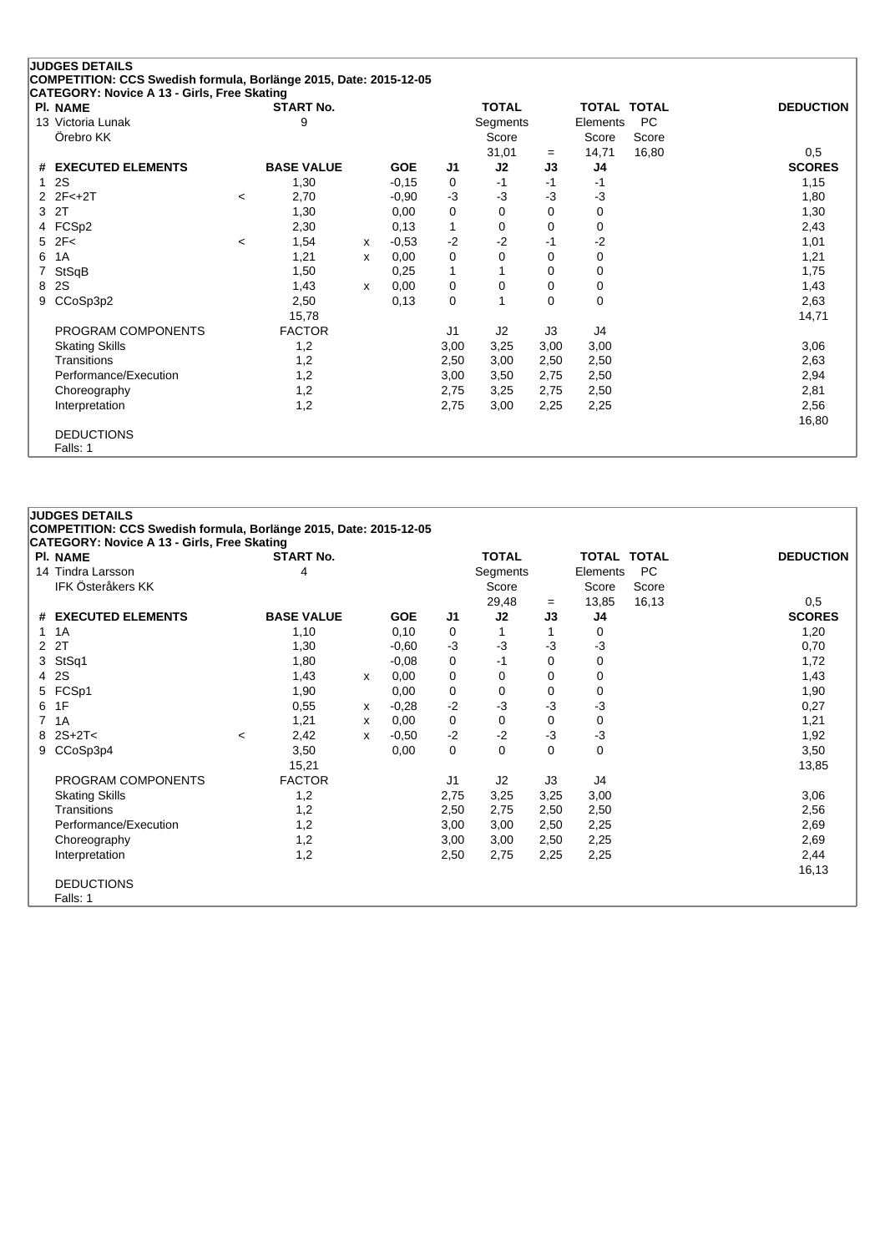|                | <b>JUDGES DETAILS</b>                                             |                          |                   |   |            |                |              |          |              |              |                  |
|----------------|-------------------------------------------------------------------|--------------------------|-------------------|---|------------|----------------|--------------|----------|--------------|--------------|------------------|
|                | COMPETITION: CCS Swedish formula, Borlänge 2015, Date: 2015-12-05 |                          |                   |   |            |                |              |          |              |              |                  |
|                | <b>CATEGORY: Novice A 13 - Girls, Free Skating</b><br>PI. NAME    |                          | <b>START No.</b>  |   |            |                | <b>TOTAL</b> |          | <b>TOTAL</b> | <b>TOTAL</b> | <b>DEDUCTION</b> |
|                | 13 Victoria Lunak                                                 |                          | 9                 |   |            |                | Segments     |          | Elements     | <b>PC</b>    |                  |
|                | Örebro KK                                                         |                          |                   |   |            |                | Score        |          | Score        | Score        |                  |
|                |                                                                   |                          |                   |   |            |                | 31,01        | $=$      | 14,71        | 16,80        | 0,5              |
| #              | <b>EXECUTED ELEMENTS</b>                                          |                          | <b>BASE VALUE</b> |   | <b>GOE</b> | J <sub>1</sub> | J2           | J3       | J4           |              | <b>SCORES</b>    |
| $\mathbf 1$    | 2S                                                                |                          | 1,30              |   | $-0,15$    | 0              | $-1$         | $-1$     | $-1$         |              | 1,15             |
|                | $2 \t2F < +2T$                                                    | $\overline{\phantom{a}}$ | 2,70              |   | $-0,90$    | $-3$           | -3           | $-3$     | $-3$         |              | 1,80             |
| 3              | 2T                                                                |                          | 1,30              |   | 0,00       | 0              | 0            | 0        | 0            |              | 1,30             |
|                | 4 FCSp2                                                           |                          | 2,30              |   | 0,13       | 1              | $\Omega$     | $\Omega$ | 0            |              | 2,43             |
| 5              | 2F<                                                               | $\,<\,$                  | 1,54              | X | $-0,53$    | $-2$           | $-2$         | $-1$     | $-2$         |              | 1,01             |
| 6              | 1A                                                                |                          | 1,21              | x | 0,00       | 0              | 0            | 0        | 0            |              | 1,21             |
| $\overline{7}$ | StSqB                                                             |                          | 1,50              |   | 0,25       | 1              |              | 0        | 0            |              | 1,75             |
| 8              | 2S                                                                |                          | 1,43              | X | 0,00       | 0              | 0            | 0        | 0            |              | 1,43             |
| 9              | CCoSp3p2                                                          |                          | 2,50              |   | 0,13       | 0              |              | 0        | 0            |              | 2,63             |
|                |                                                                   |                          | 15,78             |   |            |                |              |          |              |              | 14,71            |
|                | PROGRAM COMPONENTS                                                |                          | <b>FACTOR</b>     |   |            | J1             | J2           | J3       | J4           |              |                  |
|                | <b>Skating Skills</b>                                             |                          | 1,2               |   |            | 3,00           | 3,25         | 3,00     | 3,00         |              | 3,06             |
|                | Transitions                                                       |                          | 1,2               |   |            | 2,50           | 3,00         | 2,50     | 2,50         |              | 2,63             |
|                | Performance/Execution                                             |                          | 1,2               |   |            | 3,00           | 3,50         | 2,75     | 2,50         |              | 2,94             |
|                | Choreography                                                      |                          | 1,2               |   |            | 2,75           | 3,25         | 2,75     | 2,50         |              | 2,81             |
|                | Interpretation                                                    |                          | 1,2               |   |            | 2,75           | 3,00         | 2,25     | 2,25         |              | 2,56             |
|                |                                                                   |                          |                   |   |            |                |              |          |              |              | 16,80            |
|                | <b>DEDUCTIONS</b>                                                 |                          |                   |   |            |                |              |          |              |              |                  |
|                | Falls: 1                                                          |                          |                   |   |            |                |              |          |              |              |                  |

| 1A<br>2 2T<br>3 StSq1<br>4 2S<br>5 FCSp1<br>6 1F | 14 Tindra Larsson<br><b>IFK Österåkers KK</b><br># EXECUTED ELEMENTS | 4<br><b>BASE VALUE</b><br>1,10<br>1,30<br>1,80 |   | <b>GOE</b><br>0,10 | J1<br>0 | Segments<br>Score<br>29,48<br>J2 | $=$<br>J3 | Elements<br>Score<br>13,85<br>J4 | PC<br>Score<br>16,13 | 0,5<br><b>SCORES</b> |
|--------------------------------------------------|----------------------------------------------------------------------|------------------------------------------------|---|--------------------|---------|----------------------------------|-----------|----------------------------------|----------------------|----------------------|
|                                                  |                                                                      |                                                |   |                    |         |                                  |           |                                  |                      |                      |
|                                                  |                                                                      |                                                |   |                    |         |                                  |           |                                  |                      |                      |
|                                                  |                                                                      |                                                |   |                    |         |                                  |           |                                  |                      |                      |
|                                                  |                                                                      |                                                |   |                    |         |                                  |           |                                  |                      |                      |
|                                                  |                                                                      |                                                |   |                    |         |                                  |           | 0                                |                      | 1,20                 |
|                                                  |                                                                      |                                                |   | $-0.60$            | $-3$    | $-3$                             | $-3$      | $-3$                             |                      | 0,70                 |
|                                                  |                                                                      |                                                |   | $-0.08$            | 0       | -1                               | 0         | 0                                |                      | 1,72                 |
|                                                  |                                                                      | 1,43                                           | x | 0,00               | 0       | 0                                | 0         | 0                                |                      | 1,43                 |
|                                                  |                                                                      | 1,90                                           |   | 0,00               | 0       | 0                                | 0         | 0                                |                      | 1,90                 |
|                                                  |                                                                      | 0,55                                           | x | $-0,28$            | $-2$    | $-3$                             | $-3$      | -3                               |                      | 0,27                 |
| 1A                                               |                                                                      | 1,21                                           | х | 0,00               | 0       | 0                                | 0         | 0                                |                      | 1,21                 |
| $8$ 2S+2T<                                       |                                                                      | 2,42<br>$\prec$                                | x | $-0,50$            | $-2$    | $-2$                             | $-3$      | $-3$                             |                      | 1,92                 |
|                                                  | 9 CCoSp3p4                                                           | 3,50                                           |   | 0,00               | 0       | 0                                | $\Omega$  | 0                                |                      | 3,50                 |
|                                                  |                                                                      | 15,21                                          |   |                    |         |                                  |           |                                  |                      | 13,85                |
|                                                  | PROGRAM COMPONENTS                                                   | <b>FACTOR</b>                                  |   |                    | J1      | J2                               | J3        | J4                               |                      |                      |
|                                                  | <b>Skating Skills</b>                                                | 1,2                                            |   |                    | 2,75    | 3,25                             | 3,25      | 3,00                             |                      | 3,06                 |
|                                                  | Transitions                                                          | 1,2                                            |   |                    | 2,50    | 2,75                             | 2,50      | 2,50                             |                      | 2,56                 |
|                                                  | Performance/Execution                                                | 1,2                                            |   |                    | 3,00    | 3,00                             | 2,50      | 2,25                             |                      | 2,69                 |
|                                                  | Choreography                                                         | 1,2                                            |   |                    | 3,00    | 3,00                             | 2,50      | 2,25                             |                      | 2,69                 |
|                                                  | Interpretation                                                       | 1,2                                            |   |                    | 2,50    | 2,75                             | 2,25      | 2,25                             |                      | 2,44                 |

Falls: 1

**JUDGES DETAILS**